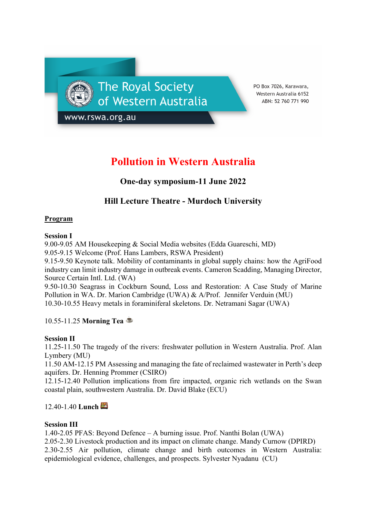The Royal Society of Western Australia

PO Box 7026, Karawara, Western Australia 6152 ABN: 52 760 771 990

www.rswa.org.au

# **Pollution in Western Australia**

# **One-day symposium-11 June 2022**

# **Hill Lecture Theatre - Murdoch University**

# **Program**

# **Session I**

9.00-9.05 AM Housekeeping & Social Media websites (Edda Guareschi, MD) 9.05-9.15 Welcome (Prof. Hans Lambers, RSWA President)

9.15-9.50 Keynote talk. Mobility of contaminants in global supply chains: how the AgriFood industry can limit industry damage in outbreak events. Cameron Scadding, Managing Director, Source Certain Intl. Ltd. (WA)

9.50-10.30 Seagrass in Cockburn Sound, Loss and Restoration: A Case Study of Marine Pollution in WA. Dr. Marion Cambridge (UWA) & A/Prof. Jennifer Verduin (MU) 10.30-10.55 Heavy metals in foraminiferal skeletons. Dr. Netramani Sagar (UWA)

10.55-11.25 **Morning Tea** ☕

# **Session II**

11.25-11.50 The tragedy of the rivers: freshwater pollution in Western Australia. Prof. Alan Lymbery (MU)

11.50 AM-12.15 PM Assessing and managing the fate of reclaimed wastewater in Perth's deep aquifers. Dr. Henning Prommer (CSIRO)

12.15-12.40 Pollution implications from fire impacted, organic rich wetlands on the Swan coastal plain, southwestern Australia. Dr. David Blake (ECU)

12.40-1.40 **Lunch**

# **Session III**

1.40-2.05 PFAS: Beyond Defence – A burning issue. Prof. Nanthi Bolan (UWA) 2.05-2.30 Livestock production and its impact on climate change. Mandy Curnow (DPIRD) 2.30-2.55 Air pollution, climate change and birth outcomes in Western Australia: epidemiological evidence, challenges, and prospects. Sylvester Nyadanu (CU)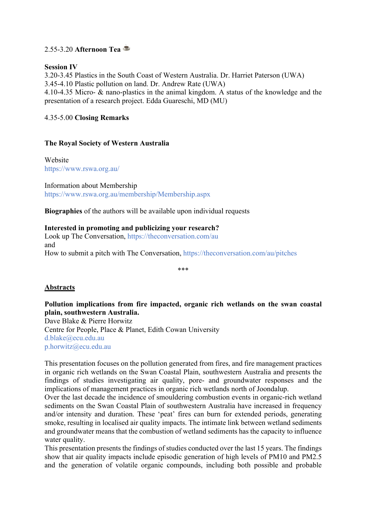# 2.55-3.20 **Afternoon Tea** ☕

#### **Session IV**

3.20-3.45 Plastics in the South Coast of Western Australia. Dr. Harriet Paterson (UWA) 3.45-4.10 Plastic pollution on land. Dr. Andrew Rate (UWA) 4.10-4.35 Micro- & nano-plastics in the animal kingdom. A status of the knowledge and the presentation of a research project. Edda Guareschi, MD (MU)

# 4.35-5.00 **Closing Remarks**

#### **The Royal Society of Western Australia**

Website https://www.rswa.org.au/

Information about Membership https://www.rswa.org.au/membership/Membership.aspx

**Biographies** of the authors will be available upon individual requests

#### **Interested in promoting and publicizing your research?**

Look up The Conversation, https://theconversation.com/au and How to submit a pitch with The Conversation, https://theconversation.com/au/pitches

\*\*\*

# **Abstracts**

# **Pollution implications from fire impacted, organic rich wetlands on the swan coastal plain, southwestern Australia.**

Dave Blake & Pierre Horwitz Centre for People, Place & Planet, Edith Cowan University d.blake@ecu.edu.au p.horwitz@ecu.edu.au

This presentation focuses on the pollution generated from fires, and fire management practices in organic rich wetlands on the Swan Coastal Plain, southwestern Australia and presents the findings of studies investigating air quality, pore- and groundwater responses and the implications of management practices in organic rich wetlands north of Joondalup.

Over the last decade the incidence of smouldering combustion events in organic-rich wetland sediments on the Swan Coastal Plain of southwestern Australia have increased in frequency and/or intensity and duration. These 'peat' fires can burn for extended periods, generating smoke, resulting in localised air quality impacts. The intimate link between wetland sediments and groundwater means that the combustion of wetland sediments has the capacity to influence water quality.

This presentation presents the findings of studies conducted over the last 15 years. The findings show that air quality impacts include episodic generation of high levels of PM10 and PM2.5 and the generation of volatile organic compounds, including both possible and probable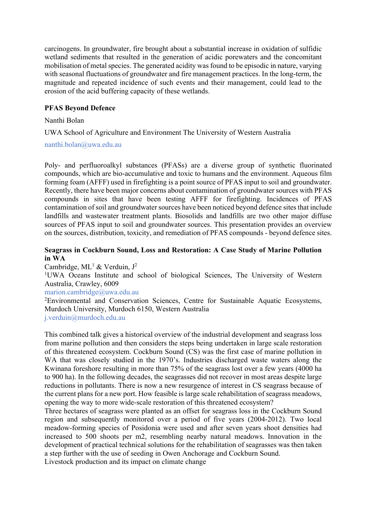carcinogens. In groundwater, fire brought about a substantial increase in oxidation of sulfidic wetland sediments that resulted in the generation of acidic porewaters and the concomitant mobilisation of metal species. The generated acidity was found to be episodic in nature, varying with seasonal fluctuations of groundwater and fire management practices. In the long-term, the magnitude and repeated incidence of such events and their management, could lead to the erosion of the acid buffering capacity of these wetlands.

#### **PFAS Beyond Defence**

#### Nanthi Bolan

UWA School of Agriculture and Environment The University of Western Australia

nanthi.bolan@uwa.edu.au

Poly- and perfluoroalkyl substances (PFASs) are a diverse group of synthetic fluorinated compounds, which are bio-accumulative and toxic to humans and the environment. Aqueous film forming foam (AFFF) used in firefighting is a point source of PFAS input to soil and groundwater. Recently, there have been major concerns about contamination of groundwater sources with PFAS compounds in sites that have been testing AFFF for firefighting. Incidences of PFAS contamination of soil and groundwater sources have been noticed beyond defence sites that include landfills and wastewater treatment plants. Biosolids and landfills are two other major diffuse sources of PFAS input to soil and groundwater sources. This presentation provides an overview on the sources, distribution, toxicity, and remediation of PFAS compounds - beyond defence sites.

#### **Seagrass in Cockburn Sound, Loss and Restoration: A Case Study of Marine Pollution in WA**

Cambridge,  $ML^1$  & Verduin,  $J^2$ 

<sup>1</sup>UWA Oceans Institute and school of biological Sciences, The University of Western Australia, Crawley, 6009

#### marion.cambridge@uwa.edu.au

<sup>2</sup>Environmental and Conservation Sciences, Centre for Sustainable Aquatic Ecosystems, Murdoch University, Murdoch 6150, Western Australia j.verduin@murdoch.edu.au

This combined talk gives a historical overview of the industrial development and seagrass loss from marine pollution and then considers the steps being undertaken in large scale restoration of this threatened ecosystem. Cockburn Sound (CS) was the first case of marine pollution in WA that was closely studied in the 1970's. Industries discharged waste waters along the Kwinana foreshore resulting in more than 75% of the seagrass lost over a few years (4000 ha to 900 ha). In the following decades, the seagrasses did not recover in most areas despite large reductions in pollutants. There is now a new resurgence of interest in CS seagrass because of the current plans for a new port. How feasible is large scale rehabilitation of seagrass meadows, opening the way to more wide-scale restoration of this threatened ecosystem?

Three hectares of seagrass were planted as an offset for seagrass loss in the Cockburn Sound region and subsequently monitored over a period of five years (2004-2012). Two local meadow-forming species of Posidonia were used and after seven years shoot densities had increased to 500 shoots per m2, resembling nearby natural meadows. Innovation in the development of practical technical solutions for the rehabilitation of seagrasses was then taken a step further with the use of seeding in Owen Anchorage and Cockburn Sound.

Livestock production and its impact on climate change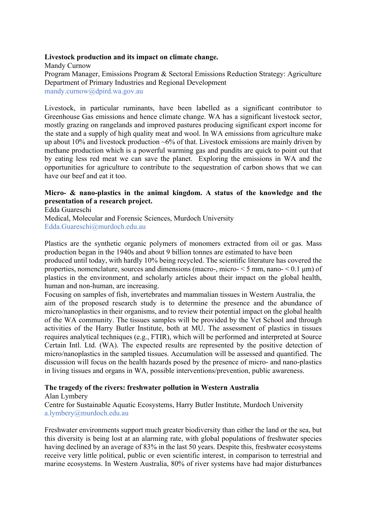#### **Livestock production and its impact on climate change.**

Mandy Curnow Program Manager, Emissions Program & Sectoral Emissions Reduction Strategy: Agriculture Department of Primary Industries and Regional Development mandy.curnow@dpird.wa.gov.au

Livestock, in particular ruminants, have been labelled as a significant contributor to Greenhouse Gas emissions and hence climate change. WA has a significant livestock sector, mostly grazing on rangelands and improved pastures producing significant export income for the state and a supply of high quality meat and wool. In WA emissions from agriculture make up about 10% and livestock production  $\sim 6\%$  of that. Livestock emissions are mainly driven by methane production which is a powerful warming gas and pundits are quick to point out that by eating less red meat we can save the planet. Exploring the emissions in WA and the opportunities for agriculture to contribute to the sequestration of carbon shows that we can have our beef and eat it too.

#### **Micro- & nano-plastics in the animal kingdom. A status of the knowledge and the presentation of a research project.**

Edda Guareschi Medical, Molecular and Forensic Sciences, Murdoch University Edda.Guareschi@murdoch.edu.au

Plastics are the synthetic organic polymers of monomers extracted from oil or gas. Mass production began in the 1940s and about 9 billion tonnes are estimated to have been produced until today, with hardly 10% being recycled. The scientific literature has covered the properties, nomenclature, sources and dimensions (macro-, micro-  $\leq$  5 mm, nano-  $\leq$  0.1 µm) of

plastics in the environment, and scholarly articles about their impact on the global health, human and non-human, are increasing. Focusing on samples of fish, invertebrates and mammalian tissues in Western Australia, the aim of the proposed research study is to determine the presence and the abundance of

micro/nanoplastics in their organisms, and to review their potential impact on the global health of the WA community. The tissues samples will be provided by the Vet School and through activities of the Harry Butler Institute, both at MU. The assessment of plastics in tissues requires analytical techniques (e.g., FTIR), which will be performed and interpreted at Source Certain Intl. Ltd. (WA). The expected results are represented by the positive detection of micro/nanoplastics in the sampled tissues. Accumulation will be assessed and quantified. The discussion will focus on the health hazards posed by the presence of micro- and nano-plastics in living tissues and organs in WA, possible interventions/prevention, public awareness.

#### **The tragedy of the rivers: freshwater pollution in Western Australia**

#### Alan Lymbery

Centre for Sustainable Aquatic Ecosystems, Harry Butler Institute, Murdoch University a.lymbery@murdoch.edu.au

Freshwater environments support much greater biodiversity than either the land or the sea, but this diversity is being lost at an alarming rate, with global populations of freshwater species having declined by an average of 83% in the last 50 years. Despite this, freshwater ecosystems receive very little political, public or even scientific interest, in comparison to terrestrial and marine ecosystems. In Western Australia, 80% of river systems have had major disturbances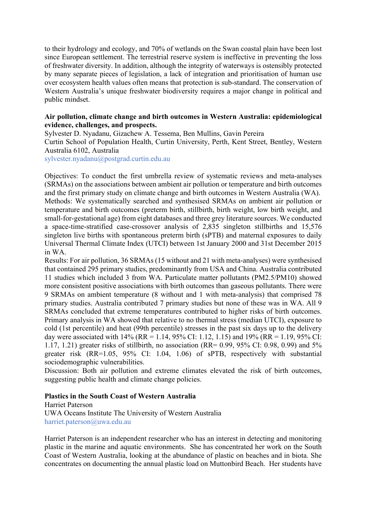to their hydrology and ecology, and 70% of wetlands on the Swan coastal plain have been lost since European settlement. The terrestrial reserve system is ineffective in preventing the loss of freshwater diversity. In addition, although the integrity of waterways is ostensibly protected by many separate pieces of legislation, a lack of integration and prioritisation of human use over ecosystem health values often means that protection is sub-standard. The conservation of Western Australia's unique freshwater biodiversity requires a major change in political and public mindset.

#### **Air pollution, climate change and birth outcomes in Western Australia: epidemiological evidence, challenges, and prospects.**

Sylvester D. Nyadanu, Gizachew A. Tessema, Ben Mullins, Gavin Pereira

Curtin School of Population Health, Curtin University, Perth, Kent Street, Bentley, Western Australia 6102, Australia

sylvester.nyadanu@postgrad.curtin.edu.au

Objectives: To conduct the first umbrella review of systematic reviews and meta-analyses (SRMAs) on the associations between ambient air pollution or temperature and birth outcomes and the first primary study on climate change and birth outcomes in Western Australia (WA). Methods: We systematically searched and synthesised SRMAs on ambient air pollution or temperature and birth outcomes (preterm birth, stillbirth, birth weight, low birth weight, and small-for-gestational age) from eight databases and three grey literature sources. We conducted a space-time-stratified case-crossover analysis of 2,835 singleton stillbirths and 15,576 singleton live births with spontaneous preterm birth (sPTB) and maternal exposures to daily Universal Thermal Climate Index (UTCI) between 1st January 2000 and 31st December 2015 in WA.

Results: For air pollution, 36 SRMAs (15 without and 21 with meta-analyses) were synthesised that contained 295 primary studies, predominantly from USA and China. Australia contributed 11 studies which included 3 from WA. Particulate matter pollutants (PM2.5/PM10) showed more consistent positive associations with birth outcomes than gaseous pollutants. There were 9 SRMAs on ambient temperature (8 without and 1 with meta-analysis) that comprised 78 primary studies. Australia contributed 7 primary studies but none of these was in WA. All 9 SRMAs concluded that extreme temperatures contributed to higher risks of birth outcomes. Primary analysis in WA showed that relative to no thermal stress (median UTCI), exposure to cold (1st percentile) and heat (99th percentile) stresses in the past six days up to the delivery day were associated with  $14\%$  (RR = 1.14, 95% CI: 1.12, 1.15) and 19% (RR = 1.19, 95% CI: 1.17, 1.21) greater risks of stillbirth, no association (RR= 0.99, 95% CI: 0.98, 0.99) and 5% greater risk (RR=1.05, 95% CI: 1.04, 1.06) of sPTB, respectively with substantial sociodemographic vulnerabilities.

Discussion: Both air pollution and extreme climates elevated the risk of birth outcomes, suggesting public health and climate change policies.

#### **Plastics in the South Coast of Western Australia**

Harriet Paterson UWA Oceans Institute The University of Western Australia harriet.paterson@uwa.edu.au

Harriet Paterson is an independent researcher who has an interest in detecting and monitoring plastic in the marine and aquatic environments. She has concentrated her work on the South Coast of Western Australia, looking at the abundance of plastic on beaches and in biota. She concentrates on documenting the annual plastic load on Muttonbird Beach. Her students have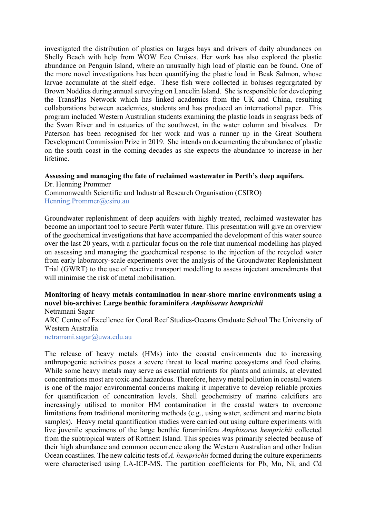investigated the distribution of plastics on larges bays and drivers of daily abundances on Shelly Beach with help from WOW Eco Cruises. Her work has also explored the plastic abundance on Penguin Island, where an unusually high load of plastic can be found. One of the more novel investigations has been quantifying the plastic load in Beak Salmon, whose larvae accumulate at the shelf edge. These fish were collected in boluses regurgitated by Brown Noddies during annual surveying on Lancelin Island. She is responsible for developing the TransPlas Network which has linked academics from the UK and China, resulting collaborations between academics, students and has produced an international paper. This program included Western Australian students examining the plastic loads in seagrass beds of the Swan River and in estuaries of the southwest, in the water column and bivalves. Dr Paterson has been recognised for her work and was a runner up in the Great Southern Development Commission Prize in 2019. She intends on documenting the abundance of plastic on the south coast in the coming decades as she expects the abundance to increase in her lifetime.

#### **Assessing and managing the fate of reclaimed wastewater in Perth's deep aquifers.** Dr. Henning Prommer

Commonwealth Scientific and Industrial Research Organisation (CSIRO) Henning.Prommer@csiro.au

Groundwater replenishment of deep aquifers with highly treated, reclaimed wastewater has become an important tool to secure Perth water future. This presentation will give an overview of the geochemical investigations that have accompanied the development of this water source over the last 20 years, with a particular focus on the role that numerical modelling has played on assessing and managing the geochemical response to the injection of the recycled water from early laboratory-scale experiments over the analysis of the Groundwater Replenishment Trial (GWRT) to the use of reactive transport modelling to assess injectant amendments that will minimise the risk of metal mobilisation.

# **Monitoring of heavy metals contamination in near-shore marine environments using a novel bio-archive: Large benthic foraminifera** *Amphisorus hemprichii*

Netramani Sagar ARC Centre of Excellence for Coral Reef Studies-Oceans Graduate School The University of Western Australia netramani.sagar@uwa.edu.au

The release of heavy metals (HMs) into the coastal environments due to increasing anthropogenic activities poses a severe threat to local marine ecosystems and food chains. While some heavy metals may serve as essential nutrients for plants and animals, at elevated concentrations most are toxic and hazardous. Therefore, heavy metal pollution in coastal waters is one of the major environmental concerns making it imperative to develop reliable proxies for quantification of concentration levels. Shell geochemistry of marine calcifiers are increasingly utilised to monitor HM contamination in the coastal waters to overcome limitations from traditional monitoring methods (e.g., using water, sediment and marine biota samples). Heavy metal quantification studies were carried out using culture experiments with live juvenile specimens of the large benthic foraminifera *Amphisorus hemprichii* collected from the subtropical waters of Rottnest Island. This species was primarily selected because of their high abundance and common occurrence along the Western Australian and other Indian Ocean coastlines. The new calcitic tests of *A. hemprichii* formed during the culture experiments were characterised using LA-ICP-MS. The partition coefficients for Pb, Mn, Ni, and Cd